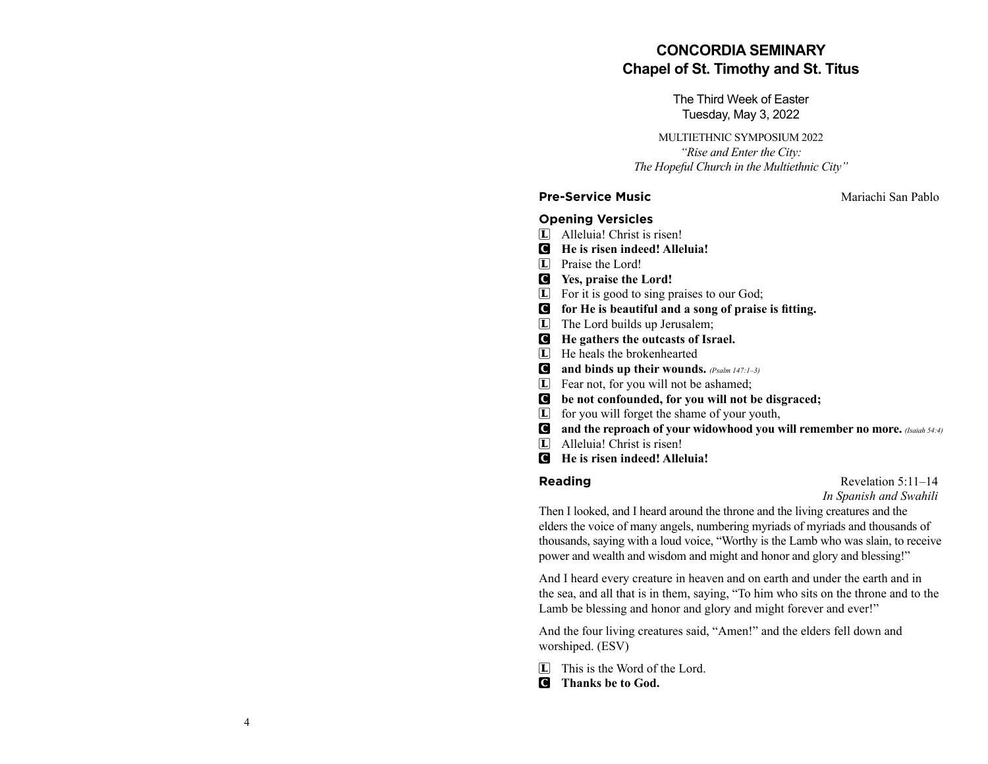# **CONCORDIA SEMINARYChapel of St. Timothy and St. Titus**

The Third Week of EasterTuesday, May 3, 2022

MULTIETHNIC SYMPOSIUM 2022*"Rise and Enter the City: The Hopeful Church in the Multiethnic City"*

#### **Pre-Service Music**  Mariachi San Pablo

# **Opening Versicles**

- L Alleluia! Christ is risen!
- C **He is risen indeed! Alleluia!**
- L Praise the Lord!
- C **Yes, praise the Lord!**
- L For it is good to sing praises to our God;
- $\bullet$  for He is beautiful and a song of praise is fitting.
- L The Lord builds up Jerusalem;
- C **He gathers the outcasts of Israel.**
- L He heals the brokenhearted
- C **and binds up their wounds.** *(Psalm 147:1–3)*
- L Fear not, for you will not be ashamed;
- C **be not confounded, for you will not be disgraced;**
- L for you will forget the shame of your youth,
- **C** and the reproach of your widowhood you will remember no more. *(Isaiah 54:4)*
- L Alleluia! Christ is risen!
- C **He is risen indeed! Alleluia!**

**Reading** Revelation 5:11–14 *In Spanish and Swahili* 

Then I looked, and I heard around the throne and the living creatures and the elders the voice of many angels, numbering myriads of myriads and thousands of thousands, saying with a loud voice, "Worthy is the Lamb who was slain, to receive power and wealth and wisdom and might and honor and glory and blessing!"

And I heard every creature in heaven and on earth and under the earth and in the sea, and all that is in them, saying, "To him who sits on the throne and to the Lamb be blessing and honor and glory and might forever and ever!"

And the four living creatures said, "Amen!" and the elders fell down and worshiped. (ESV)

- L This is the Word of the Lord.
- C **Thanks be to God.**